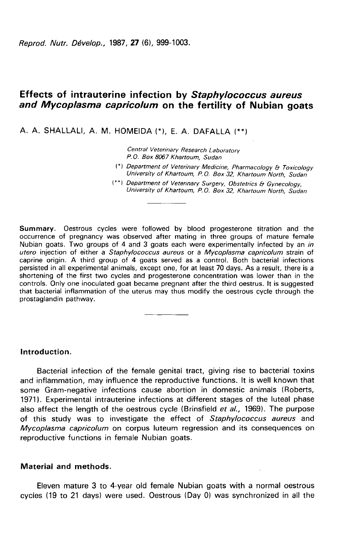Reprod. Nutr. Dévelop., 1987, 27 (6), 999-1003.

# Effects of intrauterine infection by Staphylococcus aureus and Mycoplasma capricolum on the fertility of Nubian goats

A. A. SHALLALI, A. M. HOMEIDA (\*), E. A. DAFALLA (\*\*)

Central Veterinary Research Laboratory P. 0. Box 8067 Khartoum, Sudan

- (\*) Department of Veterinary Medicine, Pharmacology & Toxicology<br>University of Khartoum, P.O. Box 32, Khartoum North, Sudan
- (\*\*) Department of Veterinary Surgery, Obstetrics & Gynecology, University of Khartoum, P.O. Box 32, Khartoum North, Sudan

Summary. Oestrous cycles were followed by blood progesterone titration and the occurrence of pregnancy was observed after mating in three groups of mature female Nubian goats. Two groups of 4 and 3 goats each were experimentally infected by an in utero injection of either a Staphylococcus aureus or a Mycoplasma capricolum strain of caprine origin. A third group of 4 goats served as a control. Both bacterial infections persisted in all experimental animals, except one, for at least 70 days. As a result, there is a shortening of the first two cycles and progesterone concentration was lower than in the controls. Only one inoculated goat became pregnant after the third oestrus. It is suggested that bacterial inflammation of the uterus may thus modify the oestrous cycle through the prostaglandin pathway.

## Introduction.

Bacterial infection of the female genital tract, giving rise to bacterial toxins and inflammation, may influence the reproductive functions. It is well known that some Gram-negative infections cause abortion in domestic animals (Roberts, 19711. Experimental intrauterine infections at different stages of the luteal phase also affect the length of the oestrous cycle (Brinsfield  $et al., 1969$ ). The purpose of this study was to investigate the effect of Staphylococcus aureus and Mycoplasma capricolum on corpus luteum regression and its consequences on reproductive functions in female Nubian goats.

## Material and methods.

Eleven mature 3 to 4-year old female Nubian goats with a normal oestrous cycles (19 to 21 days) were used. Oestrous (Day 0) was synchronized in all the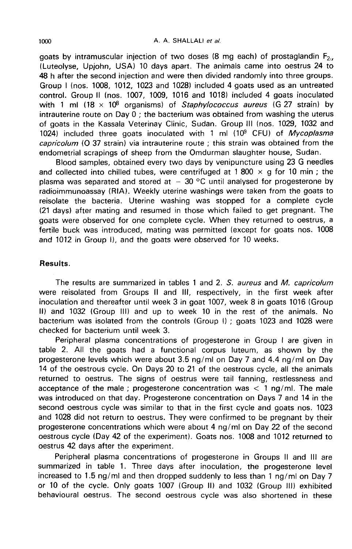goats by intramuscular injection of two doses (8 mg each) of prostaglandin  $F_{2m}$ (Luteolyse, Upjohn, USA) 10 days apart. The animals came into oestrus 24 to 48 h after the second injection and were then divided randomly into three groups. Group I (nos. 1008, 1012, 1023 and 1028) included 4 goats used as an untreated control. Group II (nos. 1007, 1009, 1016 and 1018) included 4 goats inoculated with 1 ml  $(18 \times 10^8$  organisms) of Staphylococcus aureus (G 27 strain) by intrauterine route on Day  $0$ : the bacterium was obtained from washing the uterus of goats in the Kassala Veterinay Clinic, Sudan. Group III (nos. 1029, 1032 and 1024) included three goats inoculated with 1 ml (10 $9$  CFU) of Mycoplasma capricolum (O 37 strain) via intrauterine route ; this strain was obtained from the endometrial scrapings of sheep from the Omdurman slaughter house, Sudan.

Blood samples, obtained every two days by venipuncture using 23 G needles and collected into chilled tubes, were centrifuged at 1 800  $\times$  g for 10 min; the plasma was separated and stored at  $-30$  °C until analysed for progesterone by radioimmunoassay (RIA). Weekly uterine washings were taken from the goats to reisolate the bacteria. Uterine washing was stopped for a complete cycle (21 days) after mating and resumed in those which failed to get pregnant. The goats were observed for one complete cycle. When they returned to oestrus, a fertile buck was introduced, mating was permitted (except for goats nos. 1008 and 1012 in Group 1), and the goats were observed for 10 weeks.

# Results.

The results are summarized in tables 1 and 2. S. aureus and M. capricolum were reisolated from Groups II and III, respectively, in the first week after inoculation and thereafter until week 3 in goat 1007, week 8 in goats 1016 (Group II) and 1032 (Group III) and up to week 10 in the rest of the animals. No bacterium was isolated from the controls (Group 1) ; goats 1023 and 1028 were checked for bacterium until week 3.

Peripheral plasma concentrations of progesterone in Group I are given in table 2. All the goats had a functional corpus luteum, as shown by the progesterone levels which were about 3.5 ng/ml on Day 7 and 4.4 ng/ml on Day 14 of the oestrous cycle. On Days 20 to 21 of the oestrous cycle, all the animals returned to oestrus. The signs of oestrus were tail fanning, restlessness and acceptance of the male; progesterone concentration was  $\lt 1$  ng/ml. The male was introduced on that day. Progesterone concentration on Days 7 and 14 in the second oestrous cycle was similar to that in the first cycle and goats nos. 1023 and 1028 did not return to oestrus. They were confirmed to be pregnant by their progesterone concentrations which were about 4 ng/ml on Day 22 of the second oestrous cycle (Day 42 of the experiment). Goats nos. 1008 and 1012 returned to oestrus 42 days after the experiment.

Peripheral plasma concentrations of progesterone in Groups II and III are summarized in table 1. Three days after inoculation, the progesterone level increased to 1.5 ng/ml and then dropped suddenly to less than 1 ng/ml on Day 7 or 10 of the cycle. Only goats 1007 (Group II) and 1032 (Group III) exhibited behavioural oestrus. The second oestrous cycle was also shortened in these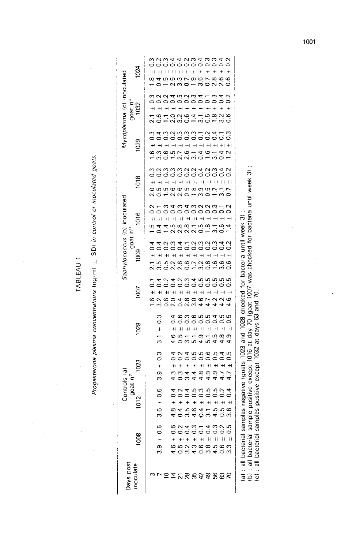TABLEAU 1

 $\overline{\phantom{a}}$ 

l,

# Progesterone plasma concentrations  $\log/m$   $\pm$  SD) in control or inoculated goats.

| 024<br><i>Aycoplasma</i> (c) inoculated                          | oooooooooo<br>waaddwadwad<br>$+1 + 1$<br>$+$ + + + + + + +<br>erage<br>condo<br>œ<br>d - vi w Q -<br>4 n n w v v o<br>aduant-a<br>aduant-a<br>$\frac{2}{3}$<br>0.4                                                                    |                                                                                                                                                                                                                        |
|------------------------------------------------------------------|---------------------------------------------------------------------------------------------------------------------------------------------------------------------------------------------------------------------------------------|------------------------------------------------------------------------------------------------------------------------------------------------------------------------------------------------------------------------|
| goat nº<br>1032                                                  | $+$<br>$+  + $<br>$+1 +$<br>$\pm$<br>$+  +   +$<br>$+$<br>$\frac{8}{1}$<br>angdia<br>Condi<br>3.200                                                                                                                                   |                                                                                                                                                                                                                        |
| 1029                                                             | nnn-na<br>oooooo<br>$\pm\left\vert \right. \right. +\left. \right\vert$<br>$+1 +$<br>$+$<br>$+1 +$<br>$+1$<br>$+1$<br>0.57<br>$\frac{0}{3}$ 1<br>0.4<br>$3.\overline{3}$<br>$\overline{3}$ .                                          |                                                                                                                                                                                                                        |
| 1018                                                             | aaaddaad<br>aaaddaa<br>$\left. +\right\rangle$<br>$+1$<br>$+1$<br>$\left. + \right $<br>$+$<br>$+1$<br>$\overline{0}$<br>¢                                                                                                            |                                                                                                                                                                                                                        |
| Saphylococcus (b) inoculated<br>1016<br>goat $n^{\circ}$<br>1009 | adadadada<br>adadadad<br>ö<br>$+1 +1$<br>$+1 +$<br>$+1$<br>$+1$<br>10,00,00<br>N N N<br>$0.5$<br>$-1.8$                                                                                                                               |                                                                                                                                                                                                                        |
|                                                                  | oooooooooo<br>4 du 4 - du du du<br>$+1$<br>$+1$<br>n o o o o<br>n o – n o<br>55260<br>30220<br>$\overline{1}$ .                                                                                                                       |                                                                                                                                                                                                                        |
| $\overline{5}$                                                   | nung<br>0000<br>$\frac{2}{0}$ .<br>$\overline{4}$<br>$+ \!\!\! \! 1 + \!\!\! \! 1 + \!\!\! \! 1 + \!\!\! \! 1 + \!\!\! \! 1 + \!\!\! \! 1 + \!\!\! \! 1$<br>$+1$<br>2.0<br>2.8<br>3.0<br>4.6                                          |                                                                                                                                                                                                                        |
| 1028                                                             | coooooooo<br>3<br>$+1$<br>$+ \!\! 1$ +<br>1 +<br>1 +<br>1 +<br>1 +<br>1 +<br>1<br>$+$<br>$\mathbf{I}$<br>I<br>$\frac{1}{3}$<br>$0.\overline{5}$<br>4.9<br>్ల<br>5<br>ıο                                                               | sample positive except 1016 at day 70 (goat 1007 was checked for bacteria until week 3)<br>samples negative (goats 1023 and 1028 checked for bacteria until week 3)<br>samples positive except 1032 at days 63 and 70. |
| 1023<br>Controls (a)<br>goat n°<br>1012                          | 0000000<br>$\pm 0.3$<br>4<br>$+1$<br>$+$<br>$\overline{\phantom{a}}$<br>$+$<br>$+1$<br>ဝ<br>က<br>$\frac{3}{4}$<br>प्पळ्ळळ<br>लंपंपंपं<br>$0.\overline{3}$                                                                             |                                                                                                                                                                                                                        |
|                                                                  | $3.6 \pm 0.5$<br>000000000<br>00000000<br>$\pm\text{i}$ $\pm\text{i}$ $\pm\text{i}$ $\pm\text{i}$ $\pm\text{i}$<br>$+1$<br>$+$<br>$\begin{array}{c} \hline \end{array}$<br>$\circ$<br>$\frac{8}{4}$<br>sad da da<br>1984 - 198<br>ró. |                                                                                                                                                                                                                        |
| 1008                                                             | <u>ဖ</u><br>cadoooooo<br>cadaa dagaa<br>$\circ$<br>$+1$<br>$+$ + + + + + + + + +<br>L<br>doudowdow<br>Gwywowdow<br>3.9                                                                                                                | (a) : all bacterial<br>bacterial<br><b>bacterial</b>                                                                                                                                                                   |
| Jays post<br>noculate                                            | <b>DAYSSASSSS</b>                                                                                                                                                                                                                     | $\frac{1}{6}$<br>$\overline{\overline{6}}$<br>$\vdots$<br>$\overline{6}$                                                                                                                                               |

1001

 $\bar{z}$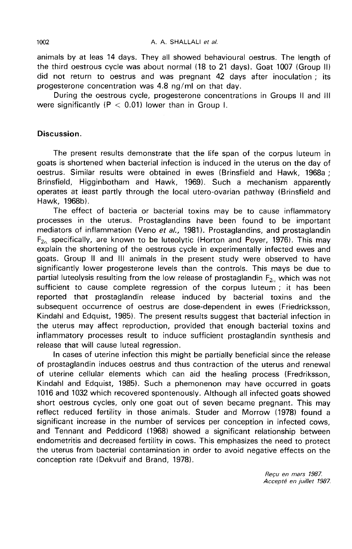animals by at leas 14 days. They all showed behavioural oestrus. The length of the third oestrous cycle was about normal (18 to 21 days). Goat 1007 (Group II) did not return to oestrus and was pregnant 42 days after inoculation ; its progesterone concentration was 4.8 ng/ml on that day.

During the oestrous cycle, progesterone concentrations in Groups II and III were significantly ( $P < 0.01$ ) lower than in Group I.

# Discussion.

The present results demonstrate that the life span of the corpus luteum in goats is shortened when bacterial infection is induced in the uterus on the day of oestrus. Similar results were obtained in ewes (Brinsfield and Hawk, 1968a ; Brinsfield, Higginbotham and Hawk, 1969). Such a mechanism apparently operates at least partly through the local utero-ovarian pathway (Brinsfield and Hawk, 1968b).

The effect of bacteria or bacterial toxins may be to cause inflammatory processes in the uterus. Prostaglandins have been found to be important mediators of inflammation (Veno et  $al.$ , 1981). Prostaglandins, and prostaglandin  $F_{2c}$  specifically, are known to be luteolytic (Horton and Poyer, 1976). This may explain the shortening of the oestrous cycle in experimentally infected ewes and goats. Group II and III animals in the present study were observed to have significantly lower progesterone levels than the controls. This mays be due to partial luteolysis resulting from the low release of prostaglandin  $F_{2\alpha}$  which was not sufficient to cause complete regression of the corpus luteum ; it has been reported that prostaglandin release induced by bacterial toxins and the subsequent occurrence of oestrus are dose-dependent in ewes (Friedricksson, Kindahl and Edquist, 1985). The present results suggest that bacterial infection in the uterus may affect reproduction, provided that enough bacterial toxins and inflammatory processes result to induce sufficient prostaglandin synthesis and release that will cause luteal regression.

In cases of uterine infection this might be partially beneficial since the release of prostaglandin induces oestrus and thus contraction of the uterus and renewal of uterine cellular elements which can aid the healing process (Fredriksson, Kindahl and Edquist, 1985). Such a phemonenon may have occurred in goats 1016 and 1032 which recovered spontenously. Although all infected goats showed short oestrous cycles, only one goat out of seven became pregnant. This may reflect reduced fertility in those animals. Studer and Morrow (1978) found a significant increase in the number of services per conception in infected cows, and Tennant and Peddicord (1968) showed a significant relationship between endometritis and decreased fertility in cows. This emphasizes the need to protect the uterus from bacterial contamination in order to avoid negative effects on the conception rate (Dekvuif and Brand, 1978).

> Recu en mars 1987. Accepté en juillet 1987.